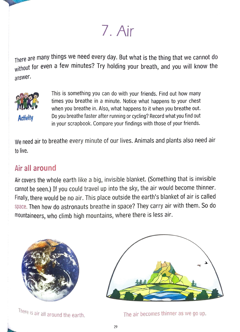**7. Air** 

There are many things we need every day. But what is the thing that we cannot do without for even a few minutes? Try holding your breath, and you will know the answer.



This is something you can do with your friends. Find out how many times you breathe in a minute. Notice what happens to your chest when you breathe in. Also, what happens to it when you breathe out. Do you breathe faster after running or cycling? Record what you find out in your scrapbook. Compare your findings with those of your friends.

We need air to breathe every minute of our lives. Animals and plants also need air to live.

## **Air all around**

Air covers the whole earth like a big, invisible blanket. (Something that is invisible cannot be seen.) If you could travel up into the sky, the air would become thinner. Finally, there would be no air. This place outside the earth's blanket of air is called space. Then how do astronauts breathe in space? They carry air with them. So do mountaineers, who climb high mountains, where there is less air.



There is air all around the earth.  $\qquad \qquad$  The air becomes thinner as we go up.